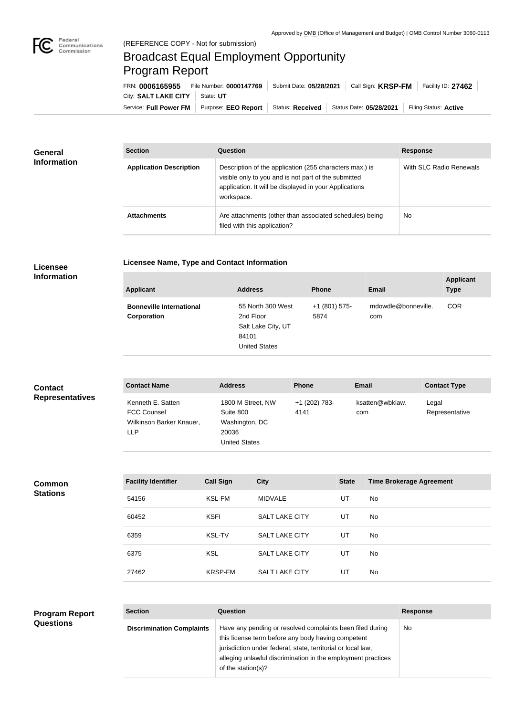

## Broadcast Equal Employment Opportunity Program Report

**Licensee Name, Type and Contact Information**

| FRN: 0006165955        | File Number: 0000147769    | Submit Date: 05/28/2021 | Call Sign: <b>KRSP-FM</b> | Facility ID: 27462    |
|------------------------|----------------------------|-------------------------|---------------------------|-----------------------|
| City: SALT LAKE CITY   | State: UT                  |                         |                           |                       |
| Service: Full Power FM | Purpose: <b>EEO Report</b> | Status: Received        | Status Date: 05/28/2021   | Filing Status: Active |

| <b>General</b><br><b>Information</b> | <b>Section</b>                 | Question                                                                                                                                                                                | <b>Response</b>         |
|--------------------------------------|--------------------------------|-----------------------------------------------------------------------------------------------------------------------------------------------------------------------------------------|-------------------------|
|                                      | <b>Application Description</b> | Description of the application (255 characters max.) is<br>visible only to you and is not part of the submitted<br>application. It will be displayed in your Applications<br>workspace. | With SLC Radio Renewals |
|                                      | <b>Attachments</b>             | Are attachments (other than associated schedules) being<br>filed with this application?                                                                                                 | <b>No</b>               |

## **Licensee Information**

| <b>Applicant</b>                               | <b>Address</b>                                                                        | <b>Phone</b>          | Email                      | <b>Applicant</b><br><b>Type</b> |
|------------------------------------------------|---------------------------------------------------------------------------------------|-----------------------|----------------------------|---------------------------------|
| <b>Bonneville International</b><br>Corporation | 55 North 300 West<br>2nd Floor<br>Salt Lake City, UT<br>84101<br><b>United States</b> | +1 (801) 575-<br>5874 | mdowdle@bonneville.<br>com | <b>COR</b>                      |

| <b>Contact</b>         | <b>Contact Name</b>                                                        | <b>Address</b>                                                                    | <b>Phone</b>          | <b>Email</b>           | <b>Contact Type</b>     |
|------------------------|----------------------------------------------------------------------------|-----------------------------------------------------------------------------------|-----------------------|------------------------|-------------------------|
| <b>Representatives</b> | Kenneth E. Satten<br><b>FCC Counsel</b><br>Wilkinson Barker Knauer,<br>LLP | 1800 M Street, NW<br>Suite 800<br>Washington, DC<br>20036<br><b>United States</b> | +1 (202) 783-<br>4141 | ksatten@wbklaw.<br>com | Legal<br>Representative |

**Common Stations**

| <b>Facility Identifier</b> | <b>Call Sign</b> | <b>City</b>           | <b>State</b> | <b>Time Brokerage Agreement</b> |
|----------------------------|------------------|-----------------------|--------------|---------------------------------|
| 54156                      | <b>KSL-FM</b>    | <b>MIDVALE</b>        | UT           | <b>No</b>                       |
| 60452                      | <b>KSFI</b>      | <b>SALT LAKE CITY</b> | UT           | No.                             |
| 6359                       | <b>KSL-TV</b>    | <b>SALT LAKE CITY</b> | UT           | N <sub>o</sub>                  |
| 6375                       | <b>KSL</b>       | <b>SALT LAKE CITY</b> | UT           | No.                             |
| 27462                      | <b>KRSP-FM</b>   | <b>SALT LAKE CITY</b> | UT           | <b>No</b>                       |

| <b>Program Report</b> | <b>Section</b>                   | Question                                                                                                                                                                                                                                                              | <b>Response</b> |
|-----------------------|----------------------------------|-----------------------------------------------------------------------------------------------------------------------------------------------------------------------------------------------------------------------------------------------------------------------|-----------------|
| <b>Questions</b>      | <b>Discrimination Complaints</b> | Have any pending or resolved complaints been filed during<br>this license term before any body having competent<br>jurisdiction under federal, state, territorial or local law,<br>alleging unlawful discrimination in the employment practices<br>of the station(s)? | <b>No</b>       |